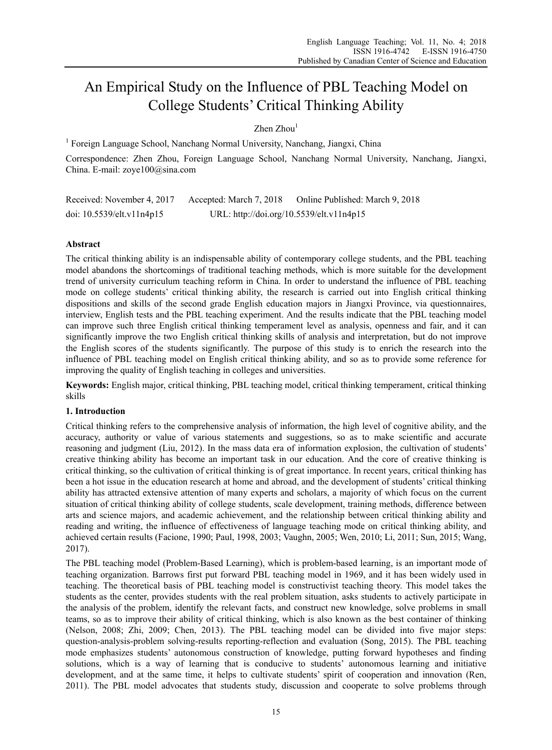# An Empirical Study on the Influence of PBL Teaching Model on College Students' Critical Thinking Ability

 $Zhen$   $Zhou$ <sup>1</sup>

<sup>1</sup> Foreign Language School, Nanchang Normal University, Nanchang, Jiangxi, China

Correspondence: Zhen Zhou, Foreign Language School, Nanchang Normal University, Nanchang, Jiangxi, China. E-mail: zoye100@sina.com

Received: November 4, 2017 Accepted: March 7, 2018 Online Published: March 9, 2018 doi: 10.5539/elt.v11n4p15 URL: http://doi.org/10.5539/elt.v11n4p15

# **Abstract**

The critical thinking ability is an indispensable ability of contemporary college students, and the PBL teaching model abandons the shortcomings of traditional teaching methods, which is more suitable for the development trend of university curriculum teaching reform in China. In order to understand the influence of PBL teaching mode on college students' critical thinking ability, the research is carried out into English critical thinking dispositions and skills of the second grade English education majors in Jiangxi Province, via questionnaires, interview, English tests and the PBL teaching experiment. And the results indicate that the PBL teaching model can improve such three English critical thinking temperament level as analysis, openness and fair, and it can significantly improve the two English critical thinking skills of analysis and interpretation, but do not improve the English scores of the students significantly. The purpose of this study is to enrich the research into the influence of PBL teaching model on English critical thinking ability, and so as to provide some reference for improving the quality of English teaching in colleges and universities.

**Keywords:** English major, critical thinking, PBL teaching model, critical thinking temperament, critical thinking skills

# **1. Introduction**

Critical thinking refers to the comprehensive analysis of information, the high level of cognitive ability, and the accuracy, authority or value of various statements and suggestions, so as to make scientific and accurate reasoning and judgment (Liu, 2012). In the mass data era of information explosion, the cultivation of students' creative thinking ability has become an important task in our education. And the core of creative thinking is critical thinking, so the cultivation of critical thinking is of great importance. In recent years, critical thinking has been a hot issue in the education research at home and abroad, and the development of students' critical thinking ability has attracted extensive attention of many experts and scholars, a majority of which focus on the current situation of critical thinking ability of college students, scale development, training methods, difference between arts and science majors, and academic achievement, and the relationship between critical thinking ability and reading and writing, the influence of effectiveness of language teaching mode on critical thinking ability, and achieved certain results (Facione, 1990; Paul, 1998, 2003; Vaughn, 2005; Wen, 2010; Li, 2011; Sun, 2015; Wang, 2017).

The PBL teaching model (Problem-Based Learning), which is problem-based learning, is an important mode of teaching organization. Barrows first put forward PBL teaching model in 1969, and it has been widely used in teaching. The theoretical basis of PBL teaching model is constructivist teaching theory. This model takes the students as the center, provides students with the real problem situation, asks students to actively participate in the analysis of the problem, identify the relevant facts, and construct new knowledge, solve problems in small teams, so as to improve their ability of critical thinking, which is also known as the best container of thinking (Nelson, 2008; Zhi, 2009; Chen, 2013). The PBL teaching model can be divided into five major steps: question-analysis-problem solving-results reporting-reflection and evaluation (Song, 2015). The PBL teaching mode emphasizes students' autonomous construction of knowledge, putting forward hypotheses and finding solutions, which is a way of learning that is conducive to students' autonomous learning and initiative development, and at the same time, it helps to cultivate students' spirit of cooperation and innovation (Ren, 2011). The PBL model advocates that students study, discussion and cooperate to solve problems through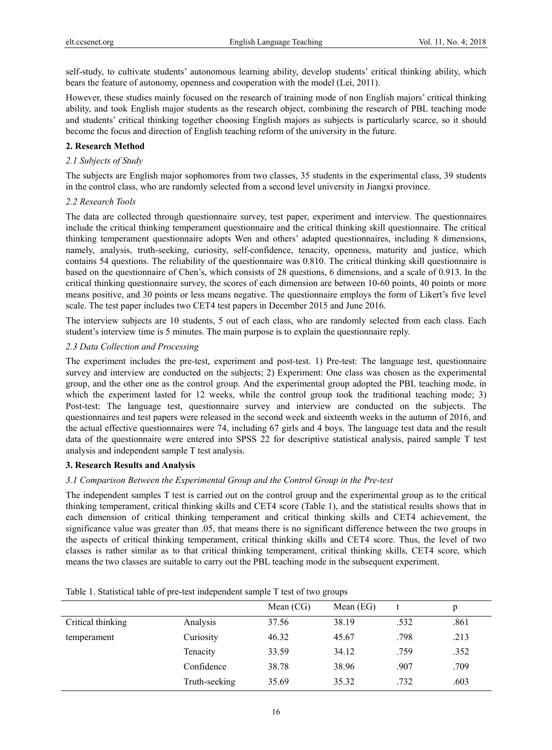self-study, to cultivate students' autonomous learning ability, develop students' critical thinking ability, which bears the feature of autonomy, openness and cooperation with the model (Lei, 2011).

However, these studies mainly focused on the research of training mode of non English majors' critical thinking ability, and took English major students as the research object, combining the research of PBL teaching mode and students' critical thinking together choosing English majors as subjects is particularly scarce, so it should become the focus and direction of English teaching reform of the university in the future.

# **2. Research Method**

#### *2.1 Subjects of Study*

The subjects are English major sophomores from two classes, 35 students in the experimental class, 39 students in the control class, who are randomly selected from a second level university in Jiangxi province.

#### *2.2 Research Tools*

The data are collected through questionnaire survey, test paper, experiment and interview. The questionnaires include the critical thinking temperament questionnaire and the critical thinking skill questionnaire. The critical thinking temperament questionnaire adopts Wen and others' adapted questionnaires, including 8 dimensions, namely, analysis, truth-seeking, curiosity, self-confidence, tenacity, openness, maturity and justice, which contains 54 questions. The reliability of the questionnaire was 0.810. The critical thinking skill questionnaire is based on the questionnaire of Chen's, which consists of 28 questions, 6 dimensions, and a scale of 0.913. In the critical thinking questionnaire survey, the scores of each dimension are between 10-60 points, 40 points or more means positive, and 30 points or less means negative. The questionnaire employs the form of Likert's five level scale. The test paper includes two CET4 test papers in December 2015 and June 2016.

The interview subjects are 10 students, 5 out of each class, who are randomly selected from each class. Each student's interview time is 5 minutes. The main purpose is to explain the questionnaire reply.

# *2.3 Data Collection and Processing*

The experiment includes the pre-test, experiment and post-test. 1) Pre-test: The language test, questionnaire survey and interview are conducted on the subjects; 2) Experiment: One class was chosen as the experimental group, and the other one as the control group. And the experimental group adopted the PBL teaching mode, in which the experiment lasted for 12 weeks, while the control group took the traditional teaching mode; 3) Post-test: The language test, questionnaire survey and interview are conducted on the subjects. The questionnaires and test papers were released in the second week and sixteenth weeks in the autumn of 2016, and the actual effective questionnaires were 74, including 67 girls and 4 boys. The language test data and the result data of the questionnaire were entered into SPSS 22 for descriptive statistical analysis, paired sample T test analysis and independent sample T test analysis.

# **3. Research Results and Analysis**

#### *3.1 Comparison Between the Experimental Group and the Control Group in the Pre-test*

The independent samples T test is carried out on the control group and the experimental group as to the critical thinking temperament, critical thinking skills and CET4 score (Table 1), and the statistical results shows that in each dimension of critical thinking temperament and critical thinking skills and CET4 achievement, the significance value was greater than .05, that means there is no significant difference between the two groups in the aspects of critical thinking temperament, critical thinking skills and CET4 score. Thus, the level of two classes is rather similar as to that critical thinking temperament, critical thinking skills, CET4 score, which means the two classes are suitable to carry out the PBL teaching mode in the subsequent experiment.

|                   |               | Mean $(CG)$ | Mean (EG) |      | p    |
|-------------------|---------------|-------------|-----------|------|------|
| Critical thinking | Analysis      | 37.56       | 38.19     | .532 | .861 |
| temperament       | Curiosity     | 46.32       | 45.67     | .798 | .213 |
|                   | Tenacity      | 33.59       | 34.12     | .759 | .352 |
|                   | Confidence    | 38.78       | 38.96     | .907 | .709 |
|                   | Truth-seeking | 35.69       | 35.32     | .732 | .603 |

Table 1. Statistical table of pre-test independent sample T test of two groups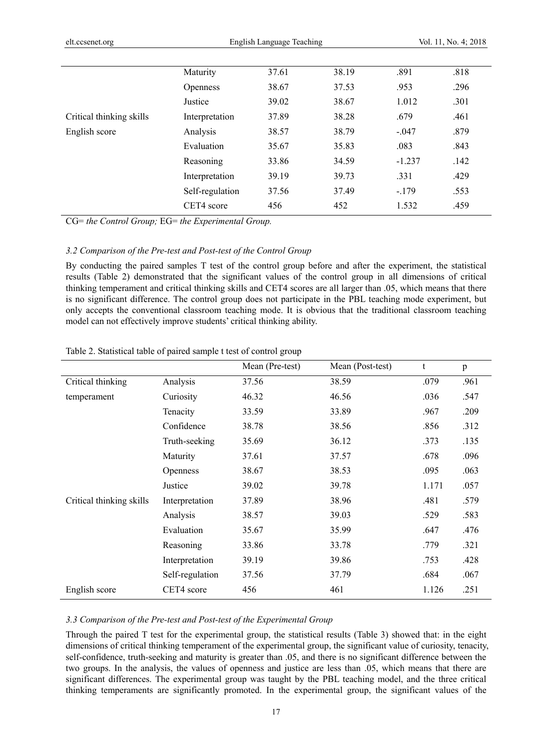|                          | Maturity        | 37.61 | 38.19 | .891     | .818 |  |
|--------------------------|-----------------|-------|-------|----------|------|--|
|                          | <b>Openness</b> | 38.67 | 37.53 | .953     | .296 |  |
|                          | Justice         | 39.02 | 38.67 | 1.012    | .301 |  |
| Critical thinking skills | Interpretation  | 37.89 | 38.28 | .679     | .461 |  |
| English score            | Analysis        | 38.57 | 38.79 | $-.047$  | .879 |  |
|                          | Evaluation      | 35.67 | 35.83 | .083     | .843 |  |
|                          | Reasoning       | 33.86 | 34.59 | $-1.237$ | .142 |  |
|                          | Interpretation  | 39.19 | 39.73 | .331     | .429 |  |
|                          | Self-regulation | 37.56 | 37.49 | $-179$   | .553 |  |
|                          | CET4 score      | 456   | 452   | 1.532    | .459 |  |
|                          |                 |       |       |          |      |  |

CG= *the Control Group;* EG= *the Experimental Group.* 

## *3.2 Comparison of the Pre-test and Post-test of the Control Group*

By conducting the paired samples T test of the control group before and after the experiment, the statistical results (Table 2) demonstrated that the significant values of the control group in all dimensions of critical thinking temperament and critical thinking skills and CET4 scores are all larger than .05, which means that there is no significant difference. The control group does not participate in the PBL teaching mode experiment, but only accepts the conventional classroom teaching mode. It is obvious that the traditional classroom teaching model can not effectively improve students' critical thinking ability.

|                          |                 | Mean (Pre-test) | Mean (Post-test) | t     | p    |
|--------------------------|-----------------|-----------------|------------------|-------|------|
| Critical thinking        | Analysis        | 37.56           | 38.59            | .079  | .961 |
| temperament              | Curiosity       | 46.32           | 46.56            | .036  | .547 |
|                          | Tenacity        | 33.59           | 33.89            | .967  | .209 |
|                          | Confidence      | 38.78           | 38.56            | .856  | .312 |
|                          | Truth-seeking   | 35.69           | 36.12            | .373  | .135 |
|                          | Maturity        | 37.61           | 37.57            | .678  | .096 |
|                          | Openness        | 38.67           | 38.53            | .095  | .063 |
|                          | Justice         | 39.02           | 39.78            | 1.171 | .057 |
| Critical thinking skills | Interpretation  | 37.89           | 38.96            | .481  | .579 |
|                          | Analysis        | 38.57           | 39.03            | .529  | .583 |
|                          | Evaluation      | 35.67           | 35.99            | .647  | .476 |
|                          | Reasoning       | 33.86           | 33.78            | .779  | .321 |
|                          | Interpretation  | 39.19           | 39.86            | .753  | .428 |
|                          | Self-regulation | 37.56           | 37.79            | .684  | .067 |
| English score            | CET4 score      | 456             | 461              | 1.126 | .251 |

#### Table 2. Statistical table of paired sample t test of control group

#### *3.3 Comparison of the Pre-test and Post-test of the Experimental Group*

Through the paired T test for the experimental group, the statistical results (Table 3) showed that: in the eight dimensions of critical thinking temperament of the experimental group, the significant value of curiosity, tenacity, self-confidence, truth-seeking and maturity is greater than .05, and there is no significant difference between the two groups. In the analysis, the values of openness and justice are less than .05, which means that there are significant differences. The experimental group was taught by the PBL teaching model, and the three critical thinking temperaments are significantly promoted. In the experimental group, the significant values of the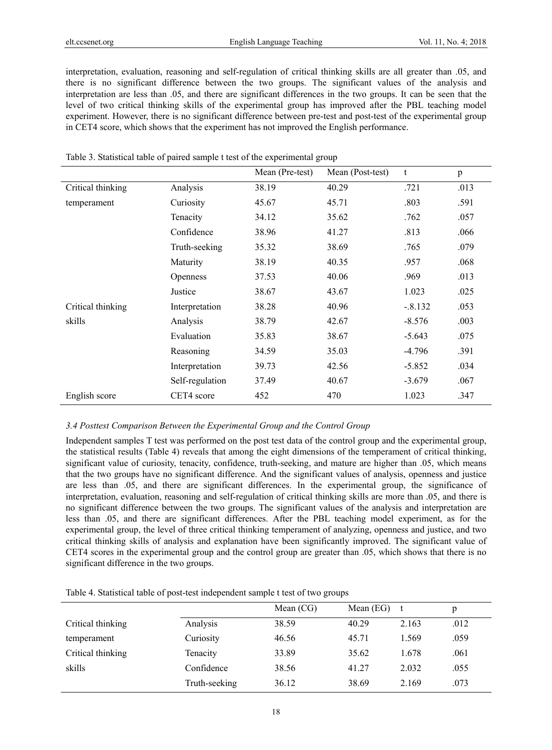interpretation, evaluation, reasoning and self-regulation of critical thinking skills are all greater than .05, and there is no significant difference between the two groups. The significant values of the analysis and interpretation are less than .05, and there are significant differences in the two groups. It can be seen that the level of two critical thinking skills of the experimental group has improved after the PBL teaching model experiment. However, there is no significant difference between pre-test and post-test of the experimental group in CET4 score, which shows that the experiment has not improved the English performance.

|                   |                 | Mean (Pre-test) | Mean (Post-test) | t         | p    |
|-------------------|-----------------|-----------------|------------------|-----------|------|
| Critical thinking | Analysis        | 38.19           | 40.29            | .721      | .013 |
| temperament       | Curiosity       | 45.67           | 45.71            | .803      | .591 |
|                   | Tenacity        | 34.12           | 35.62            | .762      | .057 |
|                   | Confidence      | 38.96           | 41.27            | .813      | .066 |
|                   | Truth-seeking   | 35.32           | 38.69            | .765      | .079 |
|                   | Maturity        | 38.19           | 40.35            | .957      | .068 |
|                   | Openness        | 37.53           | 40.06            | .969      | .013 |
|                   | Justice         | 38.67           | 43.67            | 1.023     | .025 |
| Critical thinking | Interpretation  | 38.28           | 40.96            | $-.8.132$ | .053 |
| skills            | Analysis        | 38.79           | 42.67            | $-8.576$  | .003 |
|                   | Evaluation      | 35.83           | 38.67            | $-5.643$  | .075 |
|                   | Reasoning       | 34.59           | 35.03            | $-4.796$  | .391 |
|                   | Interpretation  | 39.73           | 42.56            | $-5.852$  | .034 |
|                   | Self-regulation | 37.49           | 40.67            | $-3.679$  | .067 |
| English score     | CET4 score      | 452             | 470              | 1.023     | .347 |

|  |  |  | Table 3. Statistical table of paired sample t test of the experimental group |  |
|--|--|--|------------------------------------------------------------------------------|--|
|  |  |  |                                                                              |  |

#### *3.4 Posttest Comparison Between the Experimental Group and the Control Group*

Independent samples T test was performed on the post test data of the control group and the experimental group, the statistical results (Table 4) reveals that among the eight dimensions of the temperament of critical thinking, significant value of curiosity, tenacity, confidence, truth-seeking, and mature are higher than .05, which means that the two groups have no significant difference. And the significant values of analysis, openness and justice are less than .05, and there are significant differences. In the experimental group, the significance of interpretation, evaluation, reasoning and self-regulation of critical thinking skills are more than .05, and there is no significant difference between the two groups. The significant values of the analysis and interpretation are less than .05, and there are significant differences. After the PBL teaching model experiment, as for the experimental group, the level of three critical thinking temperament of analyzing, openness and justice, and two critical thinking skills of analysis and explanation have been significantly improved. The significant value of CET4 scores in the experimental group and the control group are greater than .05, which shows that there is no significant difference in the two groups.

|                   |               | Mean $(CG)$ | Mean $(EG)$ |       | p    |
|-------------------|---------------|-------------|-------------|-------|------|
| Critical thinking | Analysis      | 38.59       | 40.29       | 2.163 | .012 |
| temperament       | Curiosity     | 46.56       | 45.71       | 1.569 | .059 |
| Critical thinking | Tenacity      | 33.89       | 35.62       | 1.678 | .061 |
| skills            | Confidence    | 38.56       | 41.27       | 2.032 | .055 |
|                   | Truth-seeking | 36.12       | 38.69       | 2.169 | .073 |

Table 4. Statistical table of post-test independent sample t test of two groups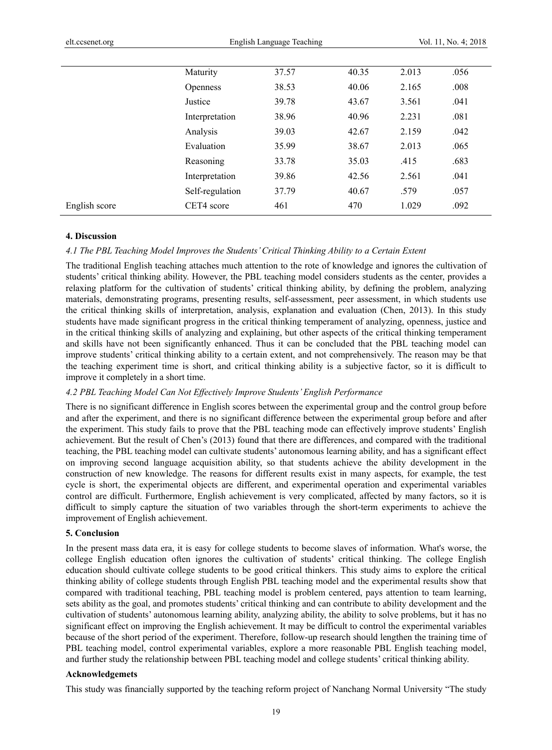|               | Maturity        | 37.57 | 40.35 | 2.013 | .056 |
|---------------|-----------------|-------|-------|-------|------|
|               | <b>Openness</b> | 38.53 | 40.06 | 2.165 | .008 |
|               | Justice         | 39.78 | 43.67 | 3.561 | .041 |
|               | Interpretation  | 38.96 | 40.96 | 2.231 | .081 |
|               | Analysis        | 39.03 | 42.67 | 2.159 | .042 |
|               | Evaluation      | 35.99 | 38.67 | 2.013 | .065 |
|               | Reasoning       | 33.78 | 35.03 | .415  | .683 |
|               | Interpretation  | 39.86 | 42.56 | 2.561 | .041 |
|               | Self-regulation | 37.79 | 40.67 | .579  | .057 |
| English score | CET4 score      | 461   | 470   | 1.029 | .092 |
|               |                 |       |       |       |      |

#### **4. Discussion**

#### *4.1 The PBL Teaching Model Improves the Students' Critical Thinking Ability to a Certain Extent*

The traditional English teaching attaches much attention to the rote of knowledge and ignores the cultivation of students' critical thinking ability. However, the PBL teaching model considers students as the center, provides a relaxing platform for the cultivation of students' critical thinking ability, by defining the problem, analyzing materials, demonstrating programs, presenting results, self-assessment, peer assessment, in which students use the critical thinking skills of interpretation, analysis, explanation and evaluation (Chen, 2013). In this study students have made significant progress in the critical thinking temperament of analyzing, openness, justice and in the critical thinking skills of analyzing and explaining, but other aspects of the critical thinking temperament and skills have not been significantly enhanced. Thus it can be concluded that the PBL teaching model can improve students' critical thinking ability to a certain extent, and not comprehensively. The reason may be that the teaching experiment time is short, and critical thinking ability is a subjective factor, so it is difficult to improve it completely in a short time.

#### *4.2 PBL Teaching Model Can Not Effectively Improve Students' English Performance*

There is no significant difference in English scores between the experimental group and the control group before and after the experiment, and there is no significant difference between the experimental group before and after the experiment. This study fails to prove that the PBL teaching mode can effectively improve students' English achievement. But the result of Chen's (2013) found that there are differences, and compared with the traditional teaching, the PBL teaching model can cultivate students' autonomous learning ability, and has a significant effect on improving second language acquisition ability, so that students achieve the ability development in the construction of new knowledge. The reasons for different results exist in many aspects, for example, the test cycle is short, the experimental objects are different, and experimental operation and experimental variables control are difficult. Furthermore, English achievement is very complicated, affected by many factors, so it is difficult to simply capture the situation of two variables through the short-term experiments to achieve the improvement of English achievement.

# **5. Conclusion**

In the present mass data era, it is easy for college students to become slaves of information. What's worse, the college English education often ignores the cultivation of students' critical thinking. The college English education should cultivate college students to be good critical thinkers. This study aims to explore the critical thinking ability of college students through English PBL teaching model and the experimental results show that compared with traditional teaching, PBL teaching model is problem centered, pays attention to team learning, sets ability as the goal, and promotes students' critical thinking and can contribute to ability development and the cultivation of students' autonomous learning ability, analyzing ability, the ability to solve problems, but it has no significant effect on improving the English achievement. It may be difficult to control the experimental variables because of the short period of the experiment. Therefore, follow-up research should lengthen the training time of PBL teaching model, control experimental variables, explore a more reasonable PBL English teaching model, and further study the relationship between PBL teaching model and college students' critical thinking ability.

# **Acknowledgemets**

This study was financially supported by the teaching reform project of Nanchang Normal University "The study